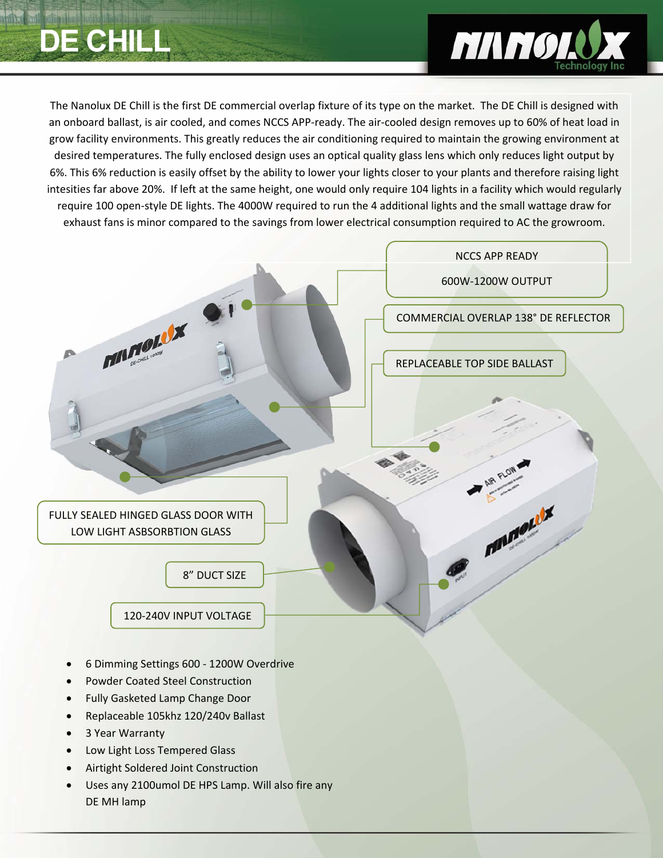# **CHIL**



The Nanolux DE Chill is the first DE commercial overlap fixture of its type on the market. The DE Chill is designed with an onboard ballast, is air cooled, and comes NCCS APP‐ready. The air‐cooled design removes up to 60% of heat load in grow facility environments. This greatly reduces the air conditioning required to maintain the growing environment at desired temperatures. The fully enclosed design uses an optical quality glass lens which only reduces light output by 6%. This 6% reduction is easily offset by the ability to lower your lights closer to your plants and therefore raising light intesities far above 20%. If left at the same height, one would only require 104 lights in a facility which would regularly require 100 open‐style DE lights. The 4000W required to run the 4 additional lights and the small wattage draw for exhaust fans is minor compared to the savings from lower electrical consumption required to AC the growroom.



- Replaceable 105khz 120/240v Ballast
- 3 Year Warranty
- Low Light Loss Tempered Glass
- Airtight Soldered Joint Construction
- Uses any 2100umol DE HPS Lamp. Will also fire any DE MH lamp